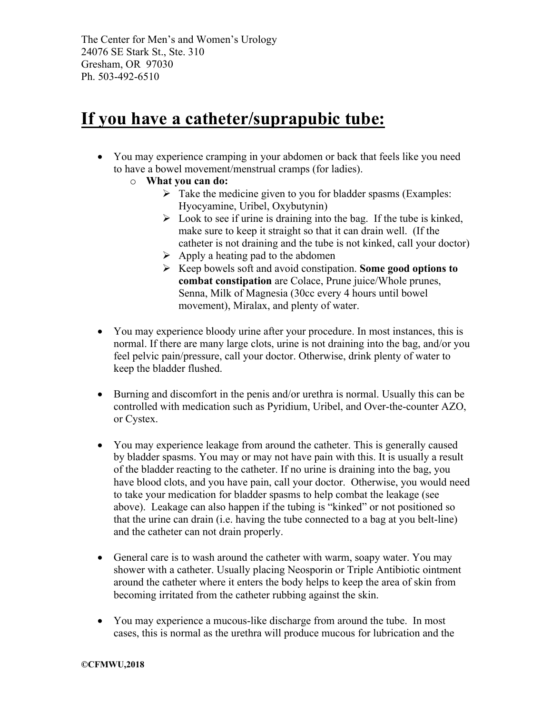The Center for Men's and Women's Urology 24076 SE Stark St., Ste. 310 Gresham, OR 97030 Ph. 503-492-6510

### **If you have a catheter/suprapubic tube:**

- You may experience cramping in your abdomen or back that feels like you need to have a bowel movement/menstrual cramps (for ladies).
	- o **What you can do:**
		- $\triangleright$  Take the medicine given to you for bladder spasms (Examples: Hyocyamine, Uribel, Oxybutynin)
		- $\triangleright$  Look to see if urine is draining into the bag. If the tube is kinked, make sure to keep it straight so that it can drain well. (If the catheter is not draining and the tube is not kinked, call your doctor)
		- $\triangleright$  Apply a heating pad to the abdomen
		- Ø Keep bowels soft and avoid constipation. **Some good options to combat constipation** are Colace, Prune juice/Whole prunes, Senna, Milk of Magnesia (30cc every 4 hours until bowel movement), Miralax, and plenty of water.
- You may experience bloody urine after your procedure. In most instances, this is normal. If there are many large clots, urine is not draining into the bag, and/or you feel pelvic pain/pressure, call your doctor. Otherwise, drink plenty of water to keep the bladder flushed.
- Burning and discomfort in the penis and/or urethra is normal. Usually this can be controlled with medication such as Pyridium, Uribel, and Over-the-counter AZO, or Cystex.
- You may experience leakage from around the catheter. This is generally caused by bladder spasms. You may or may not have pain with this. It is usually a result of the bladder reacting to the catheter. If no urine is draining into the bag, you have blood clots, and you have pain, call your doctor. Otherwise, you would need to take your medication for bladder spasms to help combat the leakage (see above). Leakage can also happen if the tubing is "kinked" or not positioned so that the urine can drain (i.e. having the tube connected to a bag at you belt-line) and the catheter can not drain properly.
- General care is to wash around the catheter with warm, soapy water. You may shower with a catheter. Usually placing Neosporin or Triple Antibiotic ointment around the catheter where it enters the body helps to keep the area of skin from becoming irritated from the catheter rubbing against the skin.
- You may experience a mucous-like discharge from around the tube. In most cases, this is normal as the urethra will produce mucous for lubrication and the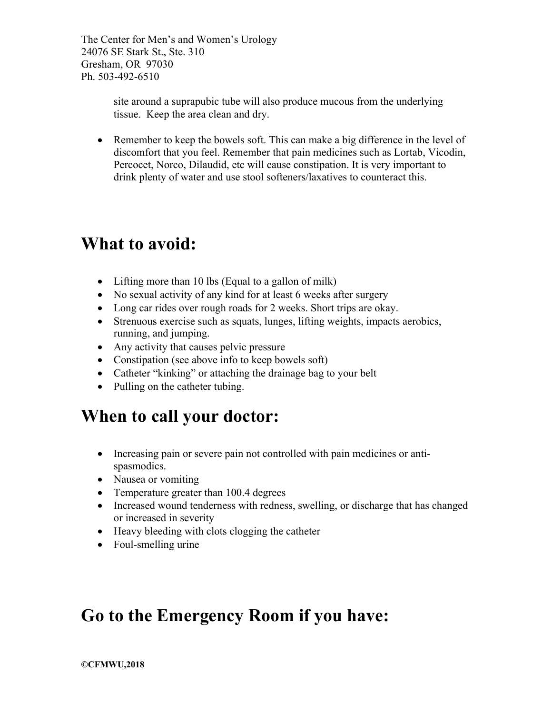The Center for Men's and Women's Urology 24076 SE Stark St., Ste. 310 Gresham, OR 97030 Ph. 503-492-6510

> site around a suprapubic tube will also produce mucous from the underlying tissue. Keep the area clean and dry.

• Remember to keep the bowels soft. This can make a big difference in the level of discomfort that you feel. Remember that pain medicines such as Lortab, Vicodin, Percocet, Norco, Dilaudid, etc will cause constipation. It is very important to drink plenty of water and use stool softeners/laxatives to counteract this.

#### **What to avoid:**

- Lifting more than 10 lbs (Equal to a gallon of milk)
- No sexual activity of any kind for at least 6 weeks after surgery
- Long car rides over rough roads for 2 weeks. Short trips are okay.
- Strenuous exercise such as squats, lunges, lifting weights, impacts aerobics, running, and jumping.
- Any activity that causes pelvic pressure
- Constipation (see above info to keep bowels soft)
- Catheter "kinking" or attaching the drainage bag to your belt
- Pulling on the catheter tubing.

#### **When to call your doctor:**

- Increasing pain or severe pain not controlled with pain medicines or antispasmodics.
- Nausea or vomiting
- Temperature greater than 100.4 degrees
- Increased wound tenderness with redness, swelling, or discharge that has changed or increased in severity
- Heavy bleeding with clots clogging the catheter
- Foul-smelling urine

### **Go to the Emergency Room if you have:**

**©CFMWU,2018**